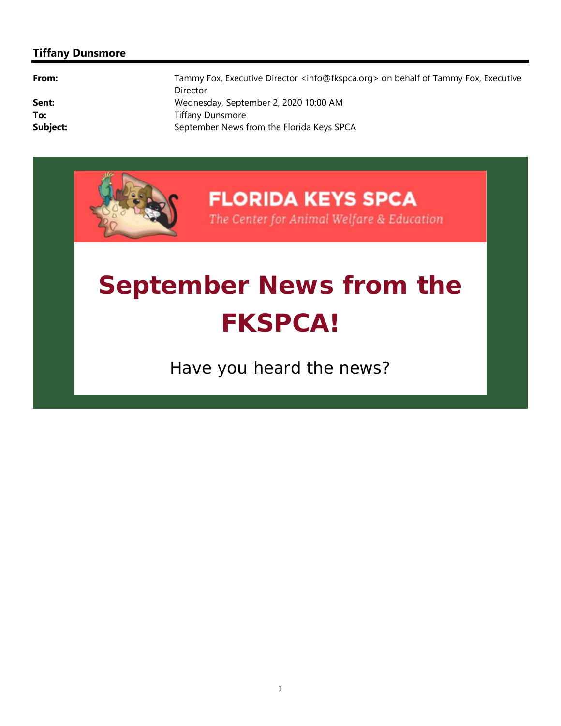#### **Tiffany Dunsmore**

| From:    | Tammy Fox, Executive Director <info@fkspca.org> on behalf of Tammy Fox, Executive<br/>Director</info@fkspca.org> |
|----------|------------------------------------------------------------------------------------------------------------------|
| Sent:    | Wednesday, September 2, 2020 10:00 AM                                                                            |
| To:      | <b>Tiffany Dunsmore</b>                                                                                          |
| Subject: | September News from the Florida Keys SPCA                                                                        |



# **September News from the FKSPCA!**

*Have you heard the news?*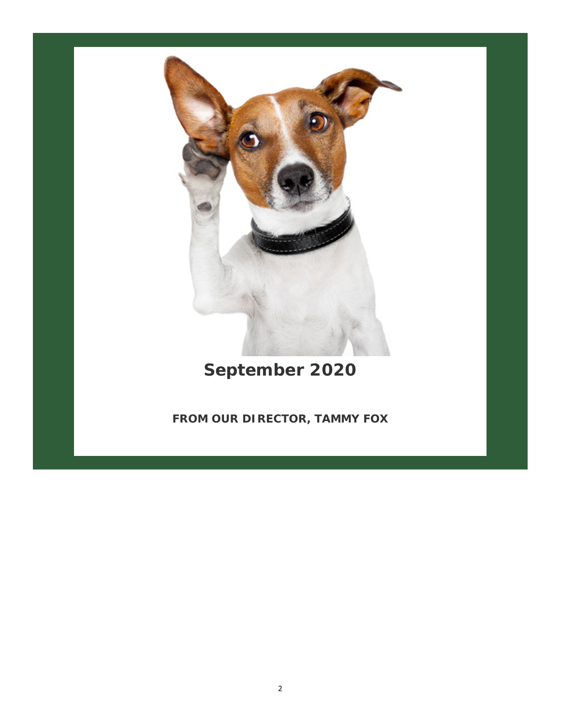

*September 2020*

**FROM OUR DIRECTOR, TAMMY FOX**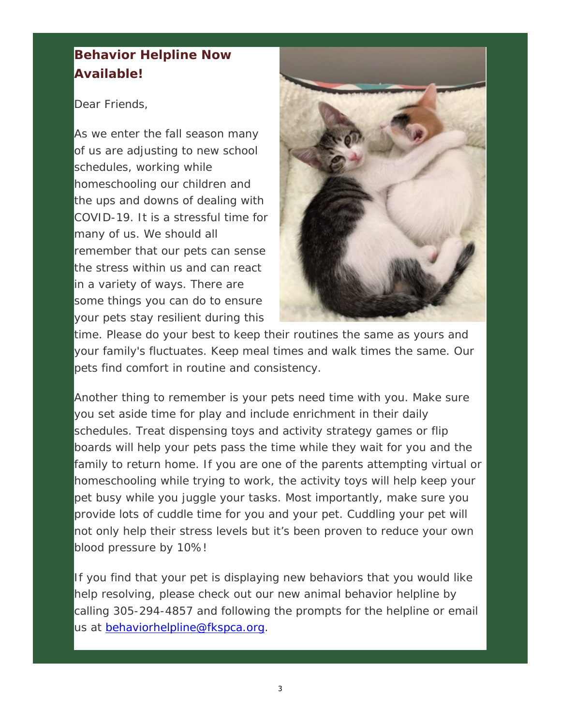#### **Behavior Helpline Now Available!**

#### Dear Friends,

As we enter the fall season many of us are adjusting to new school schedules, working while homeschooling our children and the ups and downs of dealing with COVID-19. It is a stressful time for many of us. We should all remember that our pets can sense the stress within us and can react in a variety of ways. There are some things you can do to ensure your pets stay resilient during this



time. Please do your best to keep their routines the same as yours and your family's fluctuates. Keep meal times and walk times the same. Our pets find comfort in routine and consistency.

Another thing to remember is your pets need time with you. Make sure you set aside time for play and include enrichment in their daily schedules. Treat dispensing toys and activity strategy games or flip boards will help your pets pass the time while they wait for you and the family to return home. If you are one of the parents attempting virtual or homeschooling while trying to work, the activity toys will help keep your pet busy while you juggle your tasks. Most importantly, make sure you provide lots of cuddle time for you and your pet. Cuddling your pet will not only help their stress levels but it's been proven to reduce your own blood pressure by 10%!

If you find that your pet is displaying new behaviors that you would like help resolving, please check out our new animal behavior helpline by calling 305-294-4857 and following the prompts for the helpline or email us at behaviorhelpline@fkspca.org.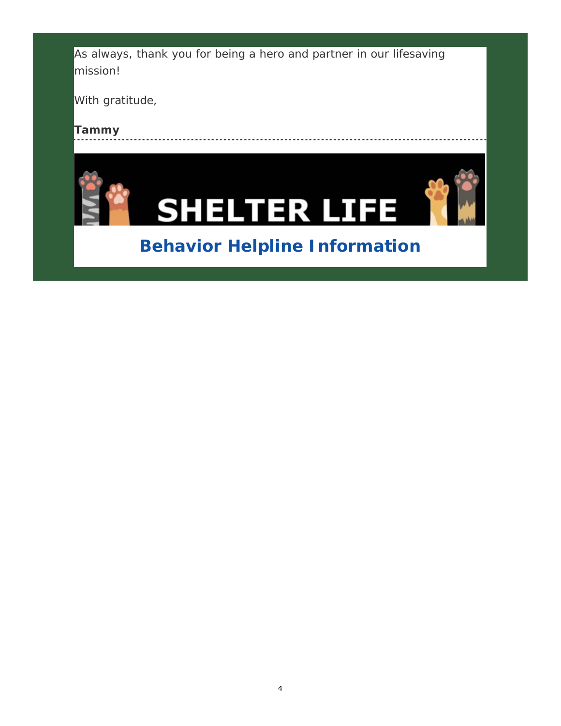As always, thank you for being a hero and partner in our lifesaving mission!

With gratitude,

*Tammy*





# **Behavior Helpline Information**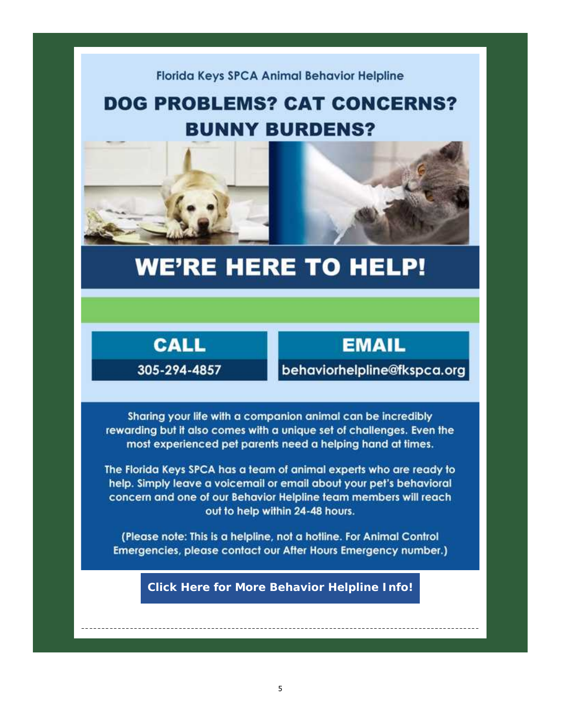#### Florida Keys SPCA Animal Behavior Helpline

# **DOG PROBLEMS? CAT CONCERNS? BUNNY BURDENS?**



# **WE'RE HERE TO HELP!**



**EMAIL** 

behaviorhelpline@fkspca.org

Sharing your life with a companion animal can be incredibly rewarding but it also comes with a unique set of challenges. Even the most experienced pet parents need a helping hand at times.

The Florida Keys SPCA has a team of animal experts who are ready to help. Simply leave a voicemail or email about your pet's behavioral concern and one of our Behavior Helpline team members will reach out to help within 24-48 hours.

(Please note: This is a helpline, not a hotline. For Animal Control Emergencies, please contact our After Hours Emergency number.)

**Click Here for More Behavior Helpline Info!**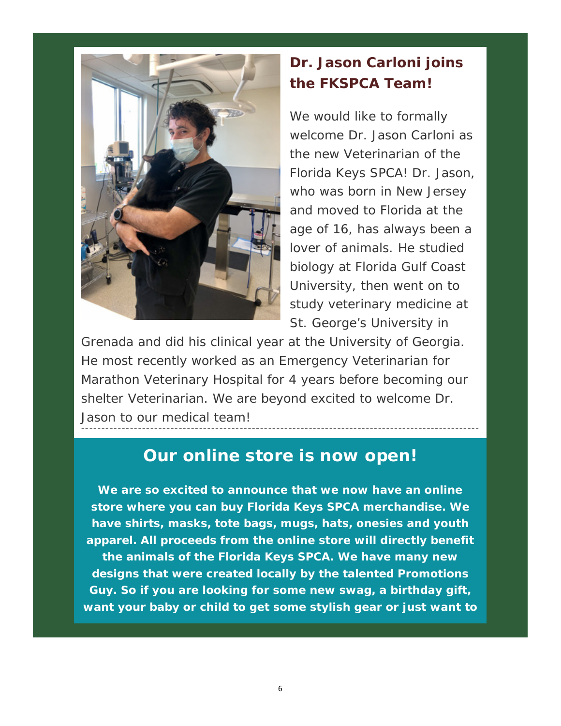

## **Dr. Jason Carloni joins the FKSPCA Team!**

We would like to formally welcome Dr. Jason Carloni as the new Veterinarian of the Florida Keys SPCA! Dr. Jason, who was born in New Jersey and moved to Florida at the age of 16, has always been a lover of animals. He studied biology at Florida Gulf Coast University, then went on to study veterinary medicine at St. George's University in

Grenada and did his clinical year at the University of Georgia. He most recently worked as an Emergency Veterinarian for Marathon Veterinary Hospital for 4 years before becoming our shelter Veterinarian. We are beyond excited to welcome Dr. Jason to our medical team!

## **Our online store is now open!**

**We are so excited to announce that we now have an online store where you can buy Florida Keys SPCA merchandise. We have shirts, masks, tote bags, mugs, hats, onesies and youth apparel. All proceeds from the online store will directly benefit the animals of the Florida Keys SPCA. We have many new designs that were created locally by the talented Promotions Guy. So if you are looking for some new swag, a birthday gift, want your baby or child to get some stylish gear or just want to**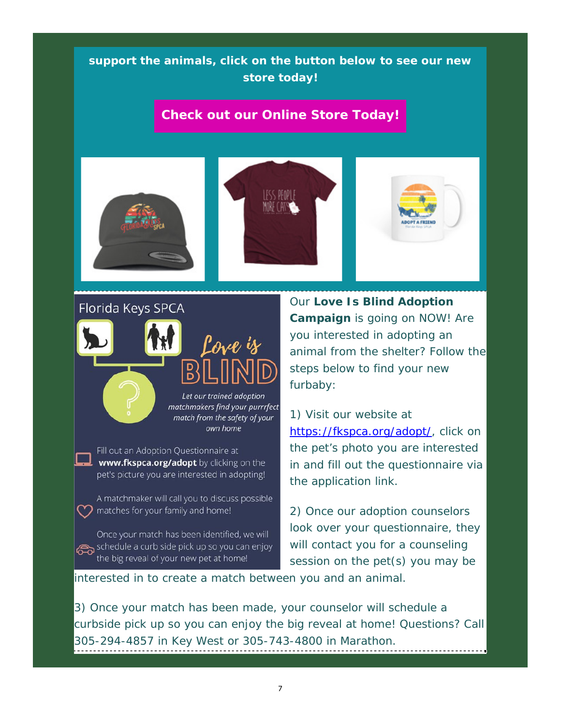#### **support the animals, click on the button below to see our new store today!**

#### **Check out our Online Store Today!**







#### Florida Keys SPCA



Fill out an Adoption Questionnaire at www.fkspca.org/adopt by clicking on the pet's picture you are interested in adopting!

A matchmaker will call you to discuss possible  $\gamma$  matches for your family and home!

Once your match has been identified, we will schedule a curb side pick up so you can enjoy the big reveal of your new pet at home!

Our **Love Is Blind Adoption Campaign** is going on NOW! Are you interested in adopting an animal from the shelter? Follow the steps below to find your new furbaby:

1) Visit our website at https://fkspca.org/adopt/, click on the pet's photo you are interested in and fill out the questionnaire via the application link.

2) Once our adoption counselors look over your questionnaire, they will contact you for a counseling session on the pet(s) you may be

interested in to create a match between you and an animal.

3) Once your match has been made, your counselor will schedule a curbside pick up so you can enjoy the big reveal at home! Questions? Call 305-294-4857 in Key West or 305-743-4800 in Marathon.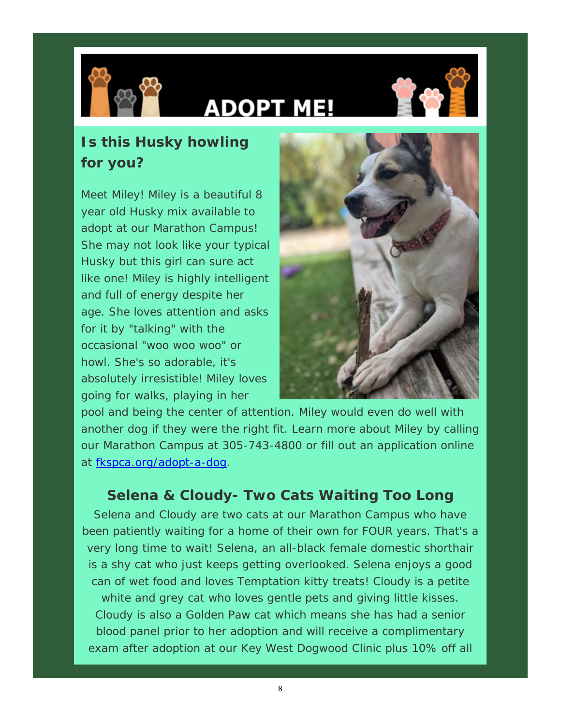

# **ADOPT ME!**



## **Is this Husky howling for you?**

Meet Miley! Miley is a beautiful 8 year old Husky mix available to adopt at our Marathon Campus! She may not look like your typical Husky but this girl can sure act like one! Miley is highly intelligent and full of energy despite her age. She loves attention and asks for it by "talking" with the occasional "woo woo woo" or howl. She's so adorable, it's absolutely irresistible! Miley loves going for walks, playing in her



pool and being the center of attention. Miley would even do well with another dog if they were the right fit. Learn more about Miley by calling our Marathon Campus at 305-743-4800 or fill out an application online at fkspca.org/adopt-a-dog.

#### **Selena & Cloudy- Two Cats Waiting Too Long**

Selena and Cloudy are two cats at our Marathon Campus who have been patiently waiting for a home of their own for FOUR years. That's a very long time to wait! Selena, an all-black female domestic shorthair is a shy cat who just keeps getting overlooked. Selena enjoys a good can of wet food and loves Temptation kitty treats! Cloudy is a petite white and grey cat who loves gentle pets and giving little kisses. Cloudy is also a Golden Paw cat which means she has had a senior blood panel prior to her adoption and will receive a complimentary exam after adoption at our Key West Dogwood Clinic plus 10% off all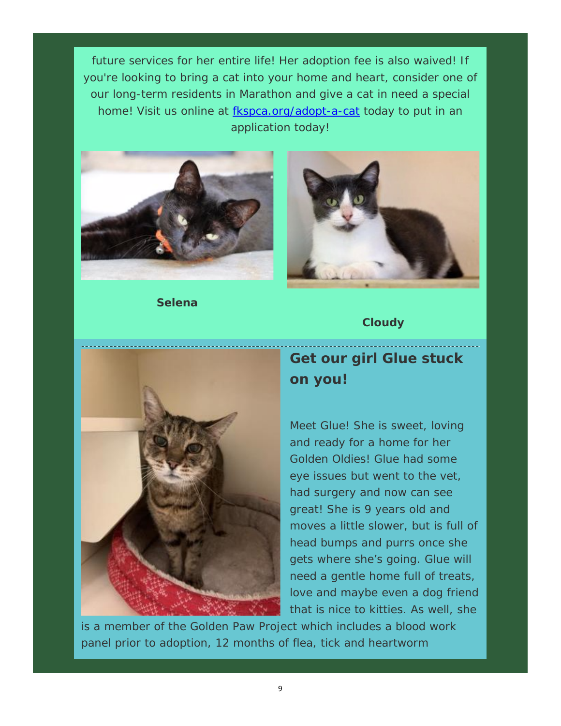future services for her entire life! Her adoption fee is also waived! If you're looking to bring a cat into your home and heart, consider one of our long-term residents in Marathon and give a cat in need a special home! Visit us online at fkspca.org/adopt-a-cat today to put in an application today!



**Selena**



#### **Cloudy**



## **Get our girl Glue stuck on you!**

Meet Glue! She is sweet, loving and ready for a home for her Golden Oldies! Glue had some eye issues but went to the vet, had surgery and now can see great! She is 9 years old and moves a little slower, but is full of head bumps and purrs once she gets where she's going. Glue will need a gentle home full of treats, love and maybe even a dog friend that is nice to kitties. As well, she

is a member of the Golden Paw Project which includes a blood work panel prior to adoption, 12 months of flea, tick and heartworm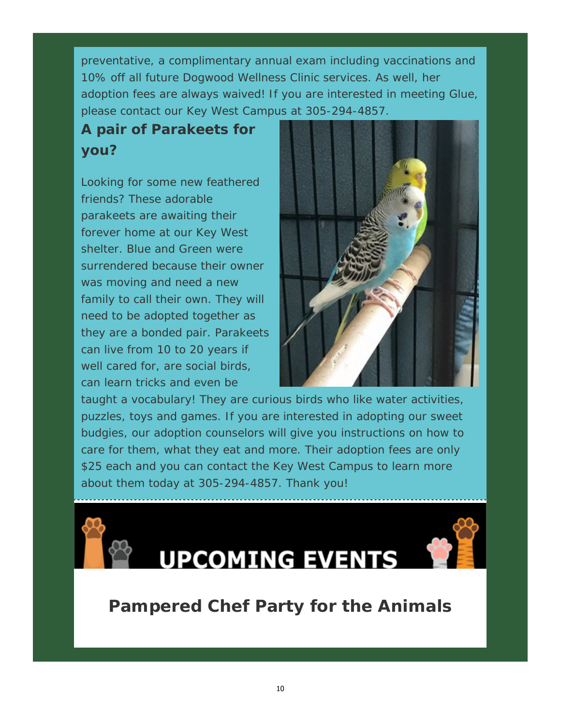preventative, a complimentary annual exam including vaccinations and 10% off all future Dogwood Wellness Clinic services. As well, her adoption fees are always waived! If you are interested in meeting Glue, please contact our Key West Campus at 305-294-4857.

# **A pair of Parakeets for you?**

Looking for some new feathered friends? These adorable parakeets are awaiting their forever home at our Key West shelter. Blue and Green were surrendered because their owner was moving and need a new family to call their own. They will need to be adopted together as they are a bonded pair. Parakeets can live from 10 to 20 years if well cared for, are social birds, can learn tricks and even be



taught a vocabulary! They are curious birds who like water activities, puzzles, toys and games. If you are interested in adopting our sweet budgies, our adoption counselors will give you instructions on how to care for them, what they eat and more. Their adoption fees are only \$25 each and you can contact the Key West Campus to learn more about them today at 305-294-4857. Thank you!



# **Pampered Chef Party for the Animals**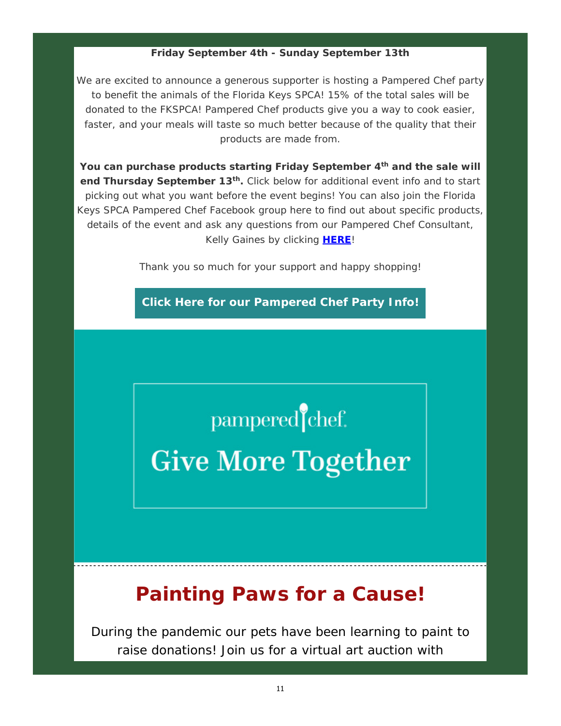#### **Friday September 4th - Sunday September 13th**

We are excited to announce a generous supporter is hosting a Pampered Chef party to benefit the animals of the Florida Keys SPCA! 15% of the total sales will be donated to the FKSPCA! Pampered Chef products give you a way to cook easier, faster, and your meals will taste so much better because of the quality that their products are made from.

**You can purchase products starting Friday September 4th and the sale will**  end Thursday September 13<sup>th</sup>. Click below for additional event info and to start picking out what you want before the event begins! You can also join the Florida Keys SPCA Pampered Chef Facebook group here to find out about specific products, details of the event and ask any questions from our Pampered Chef Consultant, Kelly Gaines by clicking **HERE**!

Thank you so much for your support and happy shopping!

**Click Here for our Pampered Chef Party Info!**

pampered chef.

**Give More Together** 

# **Painting Paws for a Cause!**

During the pandemic our pets have been learning to paint to raise donations! Join us for a virtual art auction with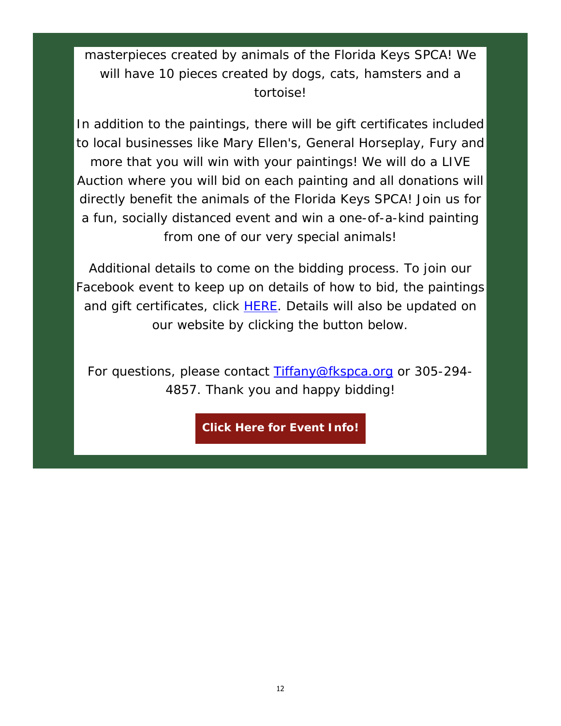#### masterpieces created by animals of the Florida Keys SPCA! We will have 10 pieces created by dogs, cats, hamsters and a tortoise!

In addition to the paintings, there will be gift certificates included to local businesses like Mary Ellen's, General Horseplay, Fury and more that you will win with your paintings! We will do a LIVE Auction where you will bid on each painting and all donations will directly benefit the animals of the Florida Keys SPCA! Join us for a fun, socially distanced event and win a one-of-a-kind painting from one of our very special animals!

Additional details to come on the bidding process. To join our Facebook event to keep up on details of how to bid, the paintings and gift certificates, click **HERE**. Details will also be updated on our website by clicking the button below.

For questions, please contact Tiffany@fkspca.org or 305-294-4857. Thank you and happy bidding!

**Click Here for Event Info!**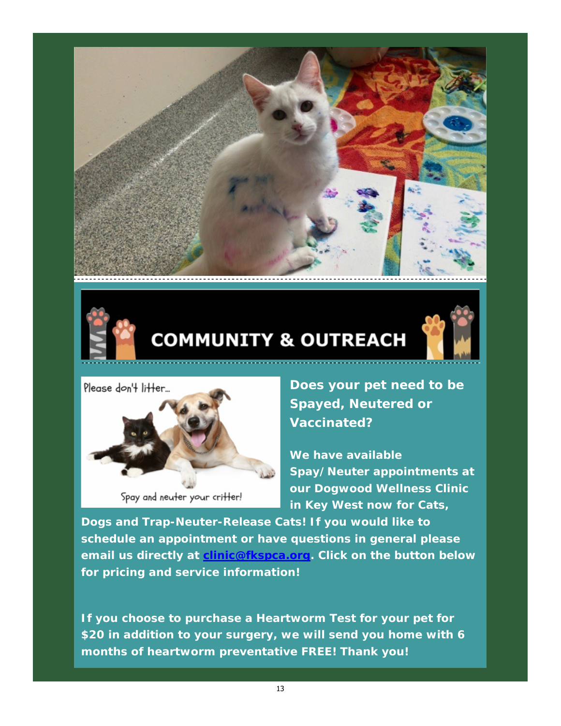



# **COMMUNITY & OUTREACH**





Spay and neuter your critter!

**Does your pet need to be Spayed, Neutered or Vaccinated?**

**We have available Spay/Neuter appointments at our Dogwood Wellness Clinic in Key West now for Cats,** 

**Dogs and Trap-Neuter-Release Cats! If you would like to schedule an appointment or have questions in general please email us directly at clinic@fkspca.org. Click on the button below for pricing and service information!** 

**If you choose to purchase a Heartworm Test for your pet for \$20 in addition to your surgery, we will send you home with 6 months of heartworm preventative FREE! Thank you!**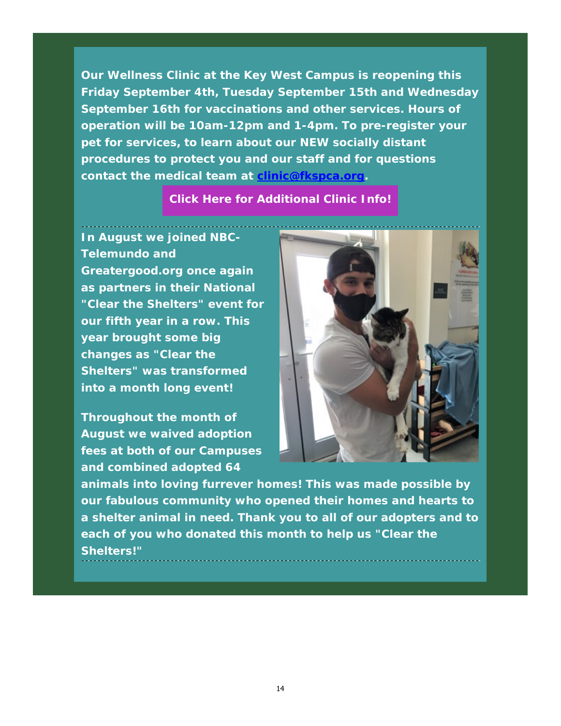**Our Wellness Clinic at the Key West Campus is reopening this Friday September 4th, Tuesday September 15th and Wednesday September 16th for vaccinations and other services. Hours of operation will be 10am-12pm and 1-4pm. To pre-register your pet for services, to learn about our** *NEW* **socially distant procedures to protect you and our staff and for questions contact the medical team at clinic@fkspca.org.** 

#### **Click Here for Additional Clinic Info!**

**In August we joined NBC-Telemundo and** 

**Greatergood.org once again as partners in their National "Clear the Shelters" event for our fifth year in a row. This year brought some big changes as "Clear the Shelters" was transformed into a month long event!** 

**Throughout the month of August we waived adoption fees at both of our Campuses and combined adopted 64** 



**animals into loving furrever homes! This was made possible by our fabulous community who opened their homes and hearts to a shelter animal in need. Thank you to all of our adopters and to each of you who donated this month to help us "Clear the Shelters!"**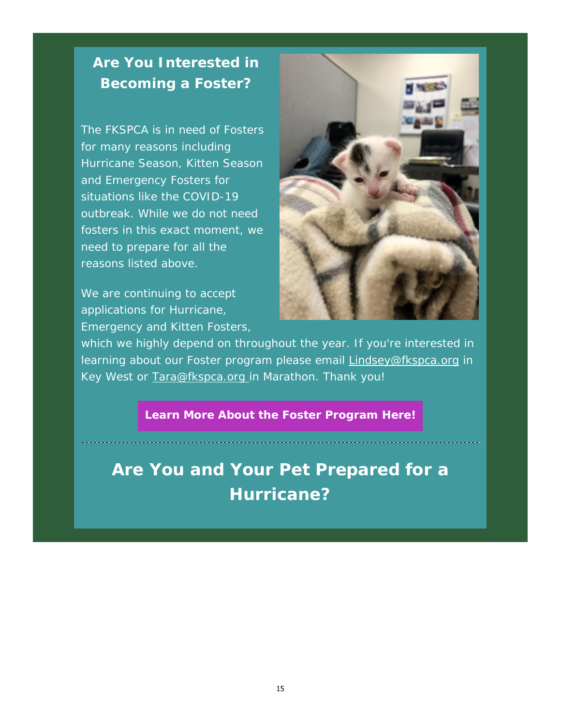### *Are You Interested in Becoming a Foster?*

The FKSPCA is in need of Fosters for many reasons including Hurricane Season, Kitten Season and Emergency Fosters for situations like the COVID-19 outbreak. While we do not need fosters in this exact moment, we need to prepare for all the reasons listed above.

We are continuing to accept applications for Hurricane, Emergency and Kitten Fosters,



which we highly depend on throughout the year. If you're interested in learning about our Foster program please email **Lindsey@fkspca.org** in Key West or Tara@fkspca.org in Marathon. Thank you!

#### **Learn More About the Foster Program Here!**

**Are You and Your Pet Prepared for a Hurricane?**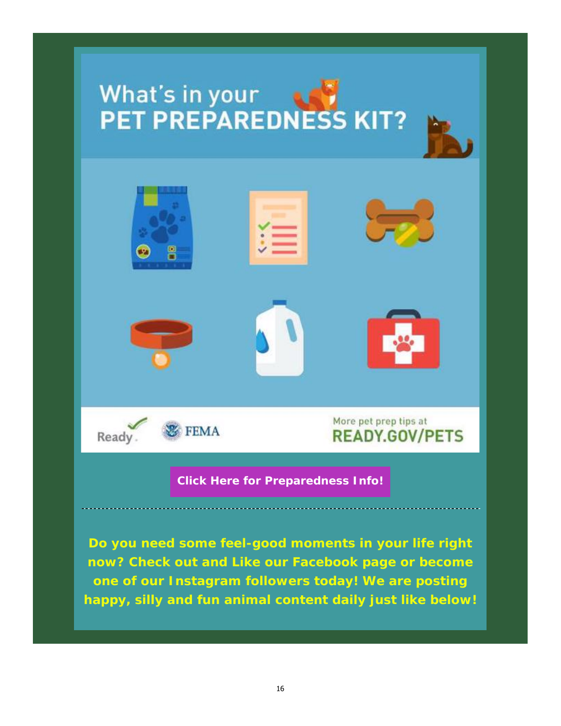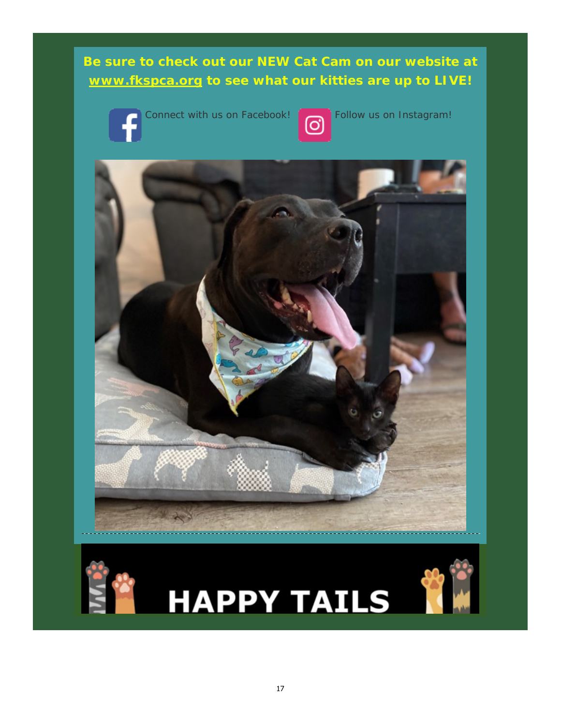#### **Be sure to check out our** *NEW Cat Cam* **on our website at www.fkspca.org to see what our kitties are up to LIVE!**



Connect with us on Facebook! <br> **O** Follow us on Instagram!







# **E HAPPY TAILS**

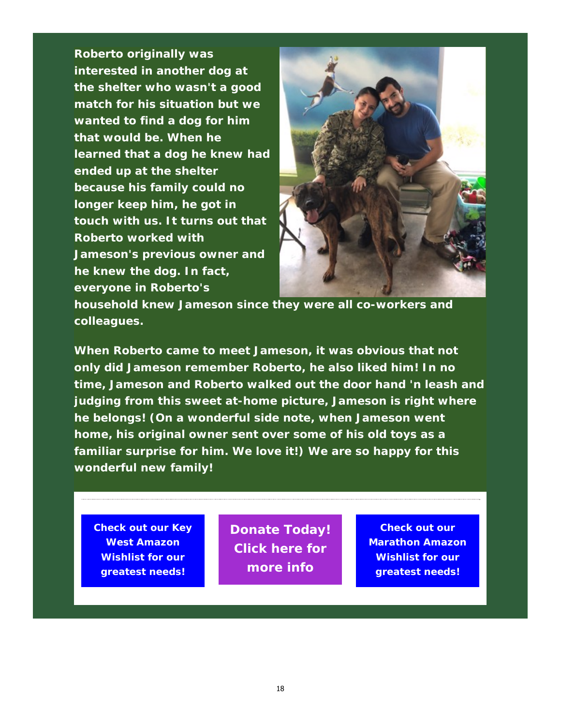**Roberto originally was interested in another dog at the shelter who wasn't a good match for his situation but we wanted to find a dog for him that would be. When he learned that a dog he knew had ended up at the shelter because his family could no longer keep him, he got in touch with us. It turns out that Roberto worked with Jameson's previous owner and he knew the dog. In fact, everyone in Roberto's** 



**household knew Jameson since they were all co-workers and colleagues.** 

**When Roberto came to meet Jameson, it was obvious that not only did Jameson remember Roberto, he also liked him! In no time, Jameson and Roberto walked out the door hand 'n leash and judging from this sweet at-home picture, Jameson is right where he belongs! (On a wonderful side note, when Jameson went home, his original owner sent over some of his old toys as a familiar surprise for him. We love it!) We are so happy for this wonderful new family!** 

**Check out our Key West Amazon Wishlist for our greatest needs!**

**Donate Today! Click here for more info**

**Check out our Marathon Amazon Wishlist for our greatest needs!**